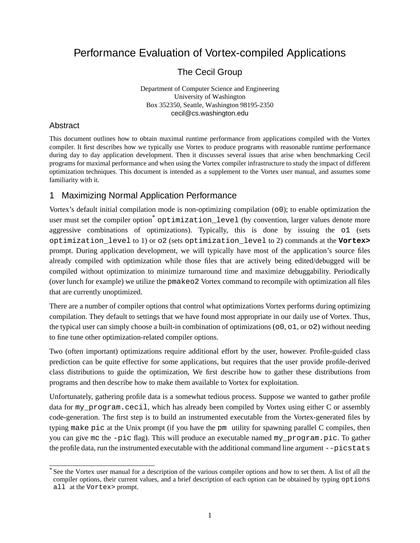## Performance Evaluation of Vortex-compiled Applications

The Cecil Group

Department of Computer Science and Engineering University of Washington Box 352350, Seattle, Washington 98195-2350 cecil@cs.washington.edu

## **Abstract**

This document outlines how to obtain maximal runtime performance from applications compiled with the Vortex compiler. It first describes how we typically use Vortex to produce programs with reasonable runtime performance during day to day application development. Then it discusses several issues that arise when benchmarking Cecil programs for maximal performance and when using the Vortex compiler infrastructure to study the impact of different optimization techniques. This document is intended as a supplement to the Vortex user manual, and assumes some familiarity with it.

## 1 Maximizing Normal Application Performance

Vortex's default initial compilation mode is non-optimizing compilation  $(00)$ ; to enable optimization the user must set the compiler option<sup>\*</sup> optimization level (by convention, larger values denote more aggressive combinations of optimizations). Typically, this is done by issuing the o1 (sets optimization\_level to 1) or o2 (sets optimization\_level to 2) commands at the **Vortex>** prompt. During application development, we will typically have most of the application's source files already compiled with optimization while those files that are actively being edited/debugged will be compiled without optimization to minimize turnaround time and maximize debuggability. Periodically (over lunch for example) we utilize the pmakeo2 Vortex command to recompile with optimization all files that are currently unoptimized.

There are a number of compiler options that control what optimizations Vortex performs during optimizing compilation. They default to settings that we have found most appropriate in our daily use of Vortex. Thus, the typical user can simply choose a built-in combination of optimizations ( $\circ$ 0,  $\circ$ 1, or  $\circ$ 2) without needing to fine tune other optimization-related compiler options.

Two (often important) optimizations require additional effort by the user, however. Profile-guided class prediction can be quite effective for some applications, but requires that the user provide profile-derived class distributions to guide the optimization, We first describe how to gather these distributions from programs and then describe how to make them available to Vortex for exploitation.

Unfortunately, gathering profile data is a somewhat tedious process. Suppose we wanted to gather profile data for my\_program.cecil, which has already been compiled by Vortex using either C or assembly code-generation. The first step is to build an instrumented executable from the Vortex-generated files by typing make pic at the Unix prompt (if you have the pm utility for spawning parallel C compiles, then you can give mc the -pic flag). This will produce an executable named my\_program.pic. To gather the profile data, run the instrumented executable with the additional command line argument --picstats

<sup>\*</sup>See the Vortex user manual for a description of the various compiler options and how to set them. A list of all the compiler options, their current values, and a brief description of each option can be obtained by typing options all at the Vortex> prompt.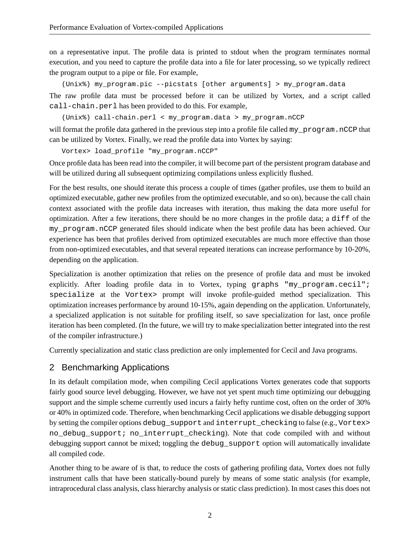on a representative input. The profile data is printed to stdout when the program terminates normal execution, and you need to capture the profile data into a file for later processing, so we typically redirect the program output to a pipe or file. For example,

(Unix%) my\_program.pic --picstats [other arguments] > my\_program.data The raw profile data must be processed before it can be utilized by Vortex, and a script called call-chain.perl has been provided to do this. For example,

```
(Unix%) call-chain.perl < my_program.data > my_program.nCCP
```
will format the profile data gathered in the previous step into a profile file called my program.nCCP that can be utilized by Vortex. Finally, we read the profile data into Vortex by saying:

Vortex> load\_profile "my\_program.nCCP"

Once profile data has been read into the compiler, it will become part of the persistent program database and will be utilized during all subsequent optimizing compilations unless explicitly flushed.

For the best results, one should iterate this process a couple of times (gather profiles, use them to build an optimized executable, gather new profiles from the optimized executable, and so on), because the call chain context associated with the profile data increases with iteration, thus making the data more useful for optimization. After a few iterations, there should be no more changes in the profile data; a diff of the my\_program.nCCP generated files should indicate when the best profile data has been achieved. Our experience has been that profiles derived from optimized executables are much more effective than those from non-optimized executables, and that several repeated iterations can increase performance by 10-20%, depending on the application.

Specialization is another optimization that relies on the presence of profile data and must be invoked explicitly. After loading profile data in to Vortex, typing graphs "my program.cecil"; specialize at the Vortex> prompt will invoke profile-guided method specialization. This optimization increases performance by around 10-15%, again depending on the application. Unfortunately, a specialized application is not suitable for profiling itself, so save specialization for last, once profile iteration has been completed. (In the future, we will try to make specialization better integrated into the rest of the compiler infrastructure.)

Currently specialization and static class prediction are only implemented for Cecil and Java programs.

## 2 Benchmarking Applications

In its default compilation mode, when compiling Cecil applications Vortex generates code that supports fairly good source level debugging. However, we have not yet spent much time optimizing our debugging support and the simple scheme currently used incurs a fairly hefty runtime cost, often on the order of 30% or 40% in optimized code. Therefore, when benchmarking Cecil applications we disable debugging support by setting the compiler options debug support and interrupt checking to false (e.g., Vortex> no\_debug\_support; no\_interrupt\_checking). Note that code compiled with and without debugging support cannot be mixed; toggling the debug support option will automatically invalidate all compiled code.

Another thing to be aware of is that, to reduce the costs of gathering profiling data, Vortex does not fully instrument calls that have been statically-bound purely by means of some static analysis (for example, intraprocedural class analysis, class hierarchy analysis or static class prediction). In most cases this does not